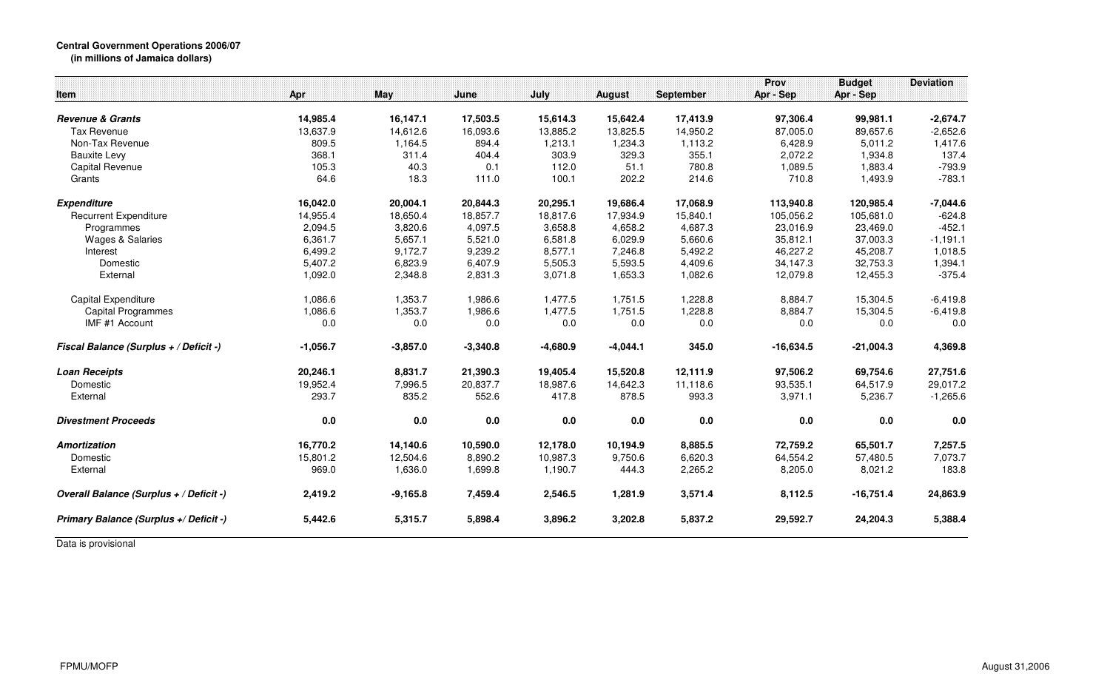|                                         |            |            |            |            |               |                  | Prov        | <b>Budget</b> | <b>Deviation</b> |
|-----------------------------------------|------------|------------|------------|------------|---------------|------------------|-------------|---------------|------------------|
| Item                                    | Apr        | May        | June       | July       | <b>August</b> | <b>September</b> | Apr - Sep   | Apr - Sep     |                  |
| <b>Revenue &amp; Grants</b>             | 14,985.4   | 16,147.1   | 17,503.5   | 15,614.3   | 15,642.4      | 17,413.9         | 97,306.4    | 99,981.1      | $-2,674.7$       |
| <b>Tax Revenue</b>                      | 13,637.9   | 14,612.6   | 16,093.6   | 13,885.2   | 13,825.5      | 14,950.2         | 87,005.0    | 89,657.6      | $-2,652.6$       |
| Non-Tax Revenue                         | 809.5      | 1,164.5    | 894.4      | 1,213.1    | 1,234.3       | 1,113.2          | 6,428.9     | 5,011.2       | 1,417.6          |
| <b>Bauxite Levy</b>                     | 368.1      | 311.4      | 404.4      | 303.9      | 329.3         | 355.1            | 2,072.2     | 1,934.8       | 137.4            |
| Capital Revenue                         | 105.3      | 40.3       | 0.1        | 112.0      | 51.1          | 780.8            | 1,089.5     | 1,883.4       | $-793.9$         |
| Grants                                  | 64.6       | 18.3       | 111.0      | 100.1      | 202.2         | 214.6            | 710.8       | 1,493.9       | $-783.1$         |
| <b>Expenditure</b>                      | 16,042.0   | 20,004.1   | 20,844.3   | 20,295.1   | 19,686.4      | 17,068.9         | 113,940.8   | 120,985.4     | $-7,044.6$       |
| <b>Recurrent Expenditure</b>            | 14,955.4   | 18,650.4   | 18,857.7   | 18,817.6   | 17,934.9      | 15,840.1         | 105,056.2   | 105,681.0     | $-624.8$         |
| Programmes                              | 2,094.5    | 3,820.6    | 4,097.5    | 3,658.8    | 4,658.2       | 4,687.3          | 23,016.9    | 23,469.0      | $-452.1$         |
| <b>Wages &amp; Salaries</b>             | 6,361.7    | 5,657.1    | 5,521.0    | 6,581.8    | 6,029.9       | 5,660.6          | 35,812.1    | 37,003.3      | $-1,191.1$       |
| Interest                                | 6,499.2    | 9,172.7    | 9,239.2    | 8,577.1    | 7,246.8       | 5,492.2          | 46,227.2    | 45,208.7      | 1,018.5          |
| Domestic                                | 5,407.2    | 6,823.9    | 6,407.9    | 5,505.3    | 5,593.5       | 4,409.6          | 34,147.3    | 32,753.3      | 1,394.1          |
| External                                | 1,092.0    | 2,348.8    | 2,831.3    | 3,071.8    | 1,653.3       | 1,082.6          | 12,079.8    | 12,455.3      | $-375.4$         |
| Capital Expenditure                     | 1,086.6    | 1,353.7    | 1,986.6    | 1,477.5    | 1,751.5       | 1,228.8          | 8,884.7     | 15,304.5      | $-6,419.8$       |
| Capital Programmes                      | 1,086.6    | 1,353.7    | 1,986.6    | 1,477.5    | 1,751.5       | 1,228.8          | 8,884.7     | 15,304.5      | $-6,419.8$       |
| IMF #1 Account                          | 0.0        | 0.0        | 0.0        | 0.0        | 0.0           | 0.0              | 0.0         | 0.0           | 0.0              |
| Fiscal Balance (Surplus + / Deficit -)  | $-1,056.7$ | $-3,857.0$ | $-3,340.8$ | $-4,680.9$ | $-4,044.1$    | 345.0            | $-16,634.5$ | $-21,004.3$   | 4,369.8          |
| <b>Loan Receipts</b>                    | 20,246.1   | 8,831.7    | 21,390.3   | 19,405.4   | 15,520.8      | 12,111.9         | 97,506.2    | 69,754.6      | 27,751.6         |
| Domestic                                | 19,952.4   | 7,996.5    | 20,837.7   | 18,987.6   | 14,642.3      | 11,118.6         | 93,535.1    | 64,517.9      | 29,017.2         |
| External                                | 293.7      | 835.2      | 552.6      | 417.8      | 878.5         | 993.3            | 3,971.1     | 5,236.7       | $-1,265.6$       |
| <b>Divestment Proceeds</b>              | 0.0        | 0.0        | 0.0        | 0.0        | 0.0           | 0.0              | 0.0         | 0.0           | 0.0              |
| <b>Amortization</b>                     | 16,770.2   | 14,140.6   | 10,590.0   | 12,178.0   | 10,194.9      | 8,885.5          | 72,759.2    | 65,501.7      | 7,257.5          |
| Domestic                                | 15,801.2   | 12,504.6   | 8,890.2    | 10,987.3   | 9,750.6       | 6,620.3          | 64,554.2    | 57,480.5      | 7,073.7          |
| External                                | 969.0      | 1,636.0    | 1,699.8    | 1,190.7    | 444.3         | 2,265.2          | 8,205.0     | 8,021.2       | 183.8            |
| Overall Balance (Surplus + / Deficit -) | 2,419.2    | $-9,165.8$ | 7,459.4    | 2,546.5    | 1,281.9       | 3,571.4          | 8,112.5     | $-16,751.4$   | 24,863.9         |
| Primary Balance (Surplus +/ Deficit -)  | 5,442.6    | 5,315.7    | 5,898.4    | 3,896.2    | 3,202.8       | 5,837.2          | 29,592.7    | 24,204.3      | 5,388.4          |
|                                         |            |            |            |            |               |                  |             |               |                  |

Data is provisional